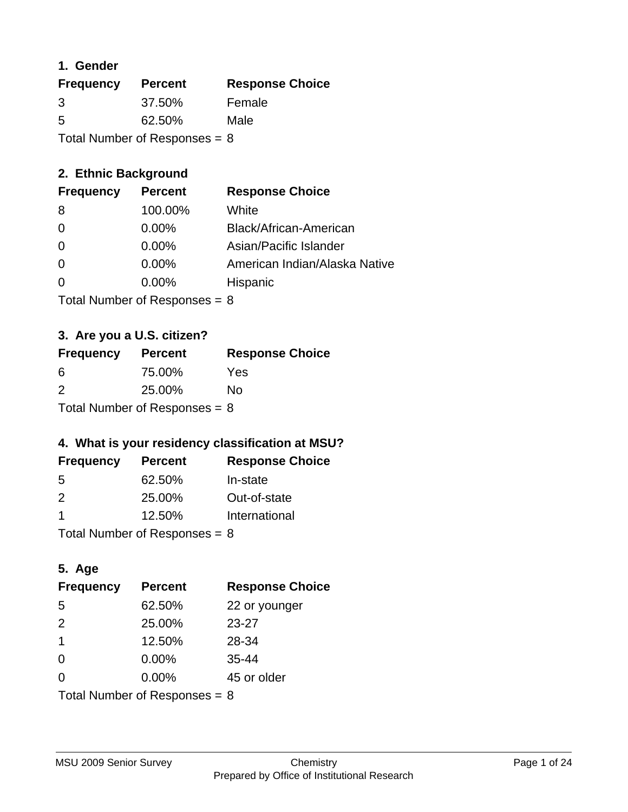#### **1. Gender**

| <b>Frequency</b> | <b>Percent</b>                  | <b>Response Choice</b> |
|------------------|---------------------------------|------------------------|
| 3                | 37.50%                          | Female                 |
| 5                | 62.50%                          | Male                   |
|                  | Total Number of Responses = $8$ |                        |

### **2. Ethnic Background**

| <b>Frequency</b> | <b>Percent</b> | <b>Response Choice</b>        |
|------------------|----------------|-------------------------------|
| 8                | 100.00%        | White                         |
| $\Omega$         | $0.00\%$       | Black/African-American        |
| $\Omega$         | $0.00\%$       | Asian/Pacific Islander        |
| $\Omega$         | 0.00%          | American Indian/Alaska Native |
|                  | 0.00%          | Hispanic                      |
|                  |                |                               |

Total Number of Responses = 8

## **3. Are you a U.S. citizen?**

| <b>Frequency</b>                | <b>Percent</b> | <b>Response Choice</b> |
|---------------------------------|----------------|------------------------|
| -6                              | 75.00%         | Yes                    |
| 2                               | 25.00%         | No                     |
| Total Number of Responses = $8$ |                |                        |

# **4. What is your residency classification at MSU?**

| <b>Frequency</b> | <b>Percent</b> | <b>Response Choice</b> |
|------------------|----------------|------------------------|
| -5               | 62.50%         | In-state               |
| 2                | 25.00%         | Out-of-state           |
|                  | 12.50%         | International          |
|                  |                |                        |

Total Number of Responses = 8

### **5. Age**

| <b>Frequency</b>                | <b>Percent</b> | <b>Response Choice</b> |
|---------------------------------|----------------|------------------------|
| 5                               | 62.50%         | 22 or younger          |
| 2                               | 25.00%         | $23 - 27$              |
| $\overline{1}$                  | 12.50%         | 28-34                  |
| $\Omega$                        | 0.00%          | $35 - 44$              |
| 0                               | 0.00%          | 45 or older            |
| Total Number of Responses = $8$ |                |                        |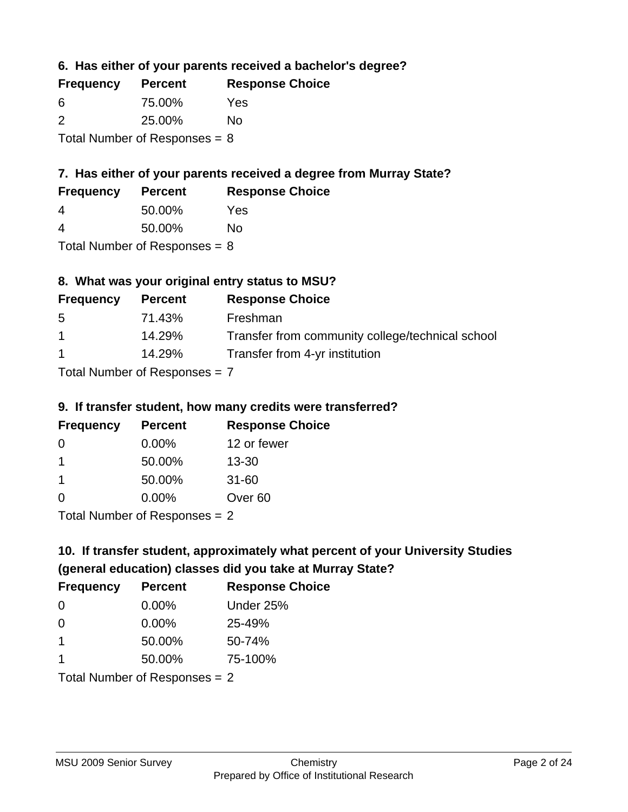**6. Has either of your parents received a bachelor's degree?**

| <b>Frequency</b> | <b>Percent</b>                  | <b>Response Choice</b> |
|------------------|---------------------------------|------------------------|
| 6                | 75.00%                          | Yes                    |
| $\mathcal{P}$    | 25.00%                          | No                     |
|                  | Total Number of Responses = $8$ |                        |

## **7. Has either of your parents received a degree from Murray State?**

| <b>Frequency</b> | <b>Percent</b> | <b>Response Choice</b> |
|------------------|----------------|------------------------|
| 4                | 50.00%         | Yes                    |

| 4 | 50.00% | No |
|---|--------|----|

Total Number of Responses = 8

# **8. What was your original entry status to MSU?**

| <b>Frequency</b> | <b>Percent</b>                  | <b>Response Choice</b>                           |
|------------------|---------------------------------|--------------------------------------------------|
| 5                | 71.43%                          | Freshman                                         |
| $\mathbf 1$      | 14.29%                          | Transfer from community college/technical school |
| $\overline{1}$   | 14.29%                          | Transfer from 4-yr institution                   |
|                  | Tatal Mussoling of Daniel and a |                                                  |

Total Number of Responses = 7

#### **9. If transfer student, how many credits were transferred?**

| <b>Frequency</b>          | <b>Percent</b> | <b>Response Choice</b> |
|---------------------------|----------------|------------------------|
| -0                        | $0.00\%$       | 12 or fewer            |
|                           | 50.00%         | $13 - 30$              |
| 1                         | 50.00%         | $31 - 60$              |
| $\Omega$                  | 0.00%          | Over <sub>60</sub>     |
| Total Number of DoEROR 0. |                |                        |

Total Number of Responses = 2

# **10. If transfer student, approximately what percent of your University Studies (general education) classes did you take at Murray State?**

| <b>Frequency</b>                | <b>Percent</b> | <b>Response Choice</b> |
|---------------------------------|----------------|------------------------|
| $\Omega$                        | $0.00\%$       | Under 25%              |
| $\Omega$                        | 0.00%          | 25-49%                 |
| 1                               | 50.00%         | 50-74%                 |
| 1                               | 50.00%         | 75-100%                |
| Total Number of Responses $= 2$ |                |                        |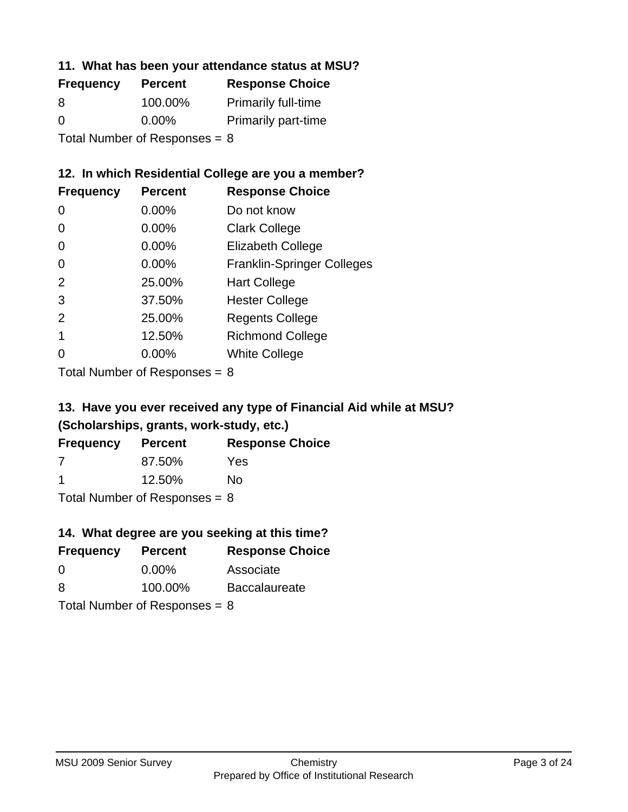#### **11. What has been your attendance status at MSU?**

| <b>Frequency</b>                | <b>Percent</b> | <b>Response Choice</b>     |
|---------------------------------|----------------|----------------------------|
| 8                               | 100.00%        | <b>Primarily full-time</b> |
| $\Omega$                        | $0.00\%$       | <b>Primarily part-time</b> |
| Total Number of Responses = $8$ |                |                            |

### **12. In which Residential College are you a member?**

| <b>Frequency</b> | <b>Percent</b> | <b>Response Choice</b>            |
|------------------|----------------|-----------------------------------|
| 0                | $0.00\%$       | Do not know                       |
| 0                | 0.00%          | <b>Clark College</b>              |
| 0                | 0.00%          | <b>Elizabeth College</b>          |
| 0                | $0.00\%$       | <b>Franklin-Springer Colleges</b> |
| 2                | 25.00%         | <b>Hart College</b>               |
| 3                | 37.50%         | <b>Hester College</b>             |
| 2                | 25.00%         | <b>Regents College</b>            |
|                  | 12.50%         | <b>Richmond College</b>           |
|                  | 0.00%          | <b>White College</b>              |
|                  |                |                                   |

Total Number of Responses = 8

## **13. Have you ever received any type of Financial Aid while at MSU? (Scholarships, grants, work-study, etc.)**

| <b>Frequency</b> | <b>Percent</b> | <b>Response Choice</b> |
|------------------|----------------|------------------------|
| 7                | 87.50%         | Yes                    |
| -1               | 12.50%         | No.                    |
|                  |                |                        |

Total Number of Responses = 8

### **14. What degree are you seeking at this time?**

| <b>Frequency</b> | <b>Percent</b>                  | <b>Response Choice</b> |
|------------------|---------------------------------|------------------------|
| $\Omega$         | $0.00\%$                        | Associate              |
| 8                | 100.00%                         | <b>Baccalaureate</b>   |
|                  | Total Number of Responses = $8$ |                        |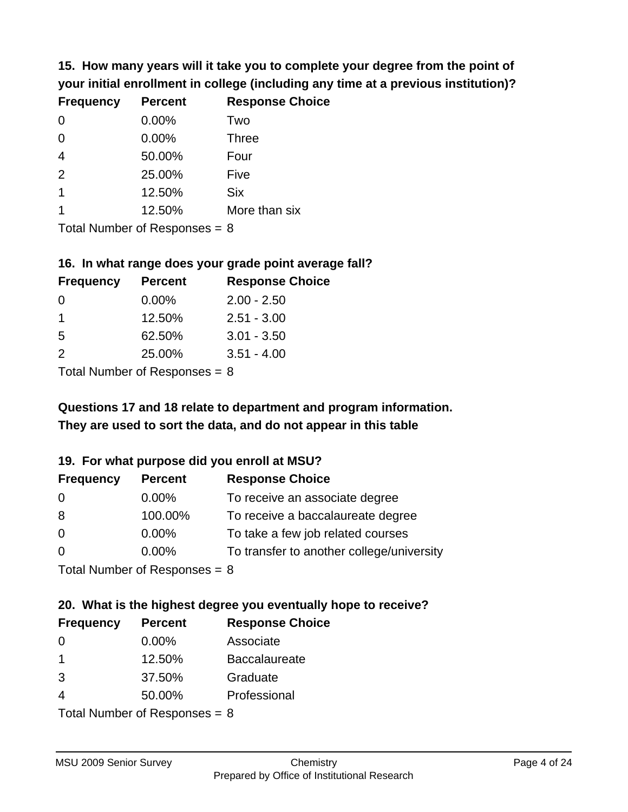**15. How many years will it take you to complete your degree from the point of your initial enrollment in college (including any time at a previous institution)?**

| <b>Frequency</b> | <b>Percent</b> | <b>Response Choice</b> |
|------------------|----------------|------------------------|
| $\Omega$         | 0.00%          | Two                    |
| $\Omega$         | 0.00%          | <b>Three</b>           |
| $\overline{4}$   | 50.00%         | Four                   |
| 2                | 25.00%         | Five                   |
| $\mathbf 1$      | 12.50%         | <b>Six</b>             |
|                  | 12.50%         | More than six          |
|                  |                |                        |

Total Number of Responses = 8

#### **16. In what range does your grade point average fall?**

| <b>Frequency</b> | <b>Percent</b> | <b>Response Choice</b> |
|------------------|----------------|------------------------|
| O                | $0.00\%$       | $2.00 - 2.50$          |
| 1                | 12.50%         | $2.51 - 3.00$          |
| -5               | 62.50%         | $3.01 - 3.50$          |
| $\mathcal{P}$    | 25.00%         | $3.51 - 4.00$          |
|                  |                |                        |

Total Number of Responses = 8

# **They are used to sort the data, and do not appear in this table Questions 17 and 18 relate to department and program information.**

#### **19. For what purpose did you enroll at MSU?**

| <b>Frequency</b>            | <b>Percent</b> | <b>Response Choice</b>                    |
|-----------------------------|----------------|-------------------------------------------|
| -0                          | $0.00\%$       | To receive an associate degree            |
| 8                           | 100.00%        | To receive a baccalaureate degree         |
| $\overline{0}$              | $0.00\%$       | To take a few job related courses         |
| $\overline{0}$              | 0.00%          | To transfer to another college/university |
| Total Number of Deepensee 0 |                |                                           |

Total Number of Responses = 8

# **20. What is the highest degree you eventually hope to receive?**

| <b>Frequency</b> | <b>Percent</b>            | <b>Response Choice</b> |
|------------------|---------------------------|------------------------|
| 0                | 0.00%                     | Associate              |
| 1                | 12.50%                    | <b>Baccalaureate</b>   |
| 3                | 37.50%                    | Graduate               |
| 4                | 50.00%                    | Professional           |
|                  | Total Number of Deepensee |                        |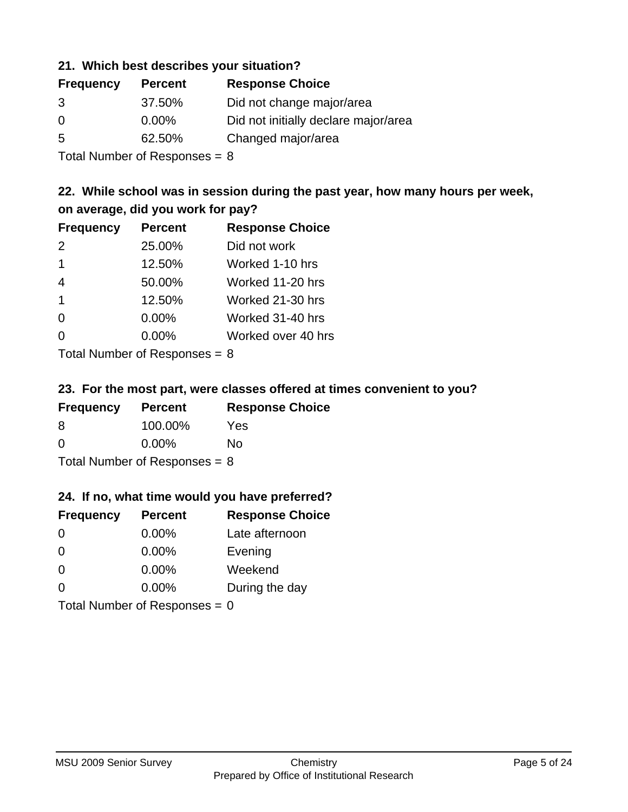#### **21. Which best describes your situation?**

| <b>Frequency</b> | <b>Percent</b> | <b>Response Choice</b>               |
|------------------|----------------|--------------------------------------|
| 3                | 37.50%         | Did not change major/area            |
| $\Omega$         | $0.00\%$       | Did not initially declare major/area |
| -5               | 62.50%         | Changed major/area                   |
|                  |                |                                      |

Total Number of Responses = 8

### **22. While school was in session during the past year, how many hours per week, on average, did you work for pay?**

| <b>Frequency</b> | <b>Percent</b> | <b>Response Choice</b> |
|------------------|----------------|------------------------|
| 2                | 25.00%         | Did not work           |
| $\mathbf 1$      | 12.50%         | Worked 1-10 hrs        |
| 4                | 50.00%         | Worked 11-20 hrs       |
| $\overline{1}$   | 12.50%         | Worked 21-30 hrs       |
| $\Omega$         | 0.00%          | Worked 31-40 hrs       |
| $\Omega$         | 0.00%          | Worked over 40 hrs     |
|                  |                |                        |

Total Number of Responses = 8

#### **23. For the most part, were classes offered at times convenient to you?**

| <b>Frequency</b>                | <b>Percent</b> | <b>Response Choice</b> |
|---------------------------------|----------------|------------------------|
| 8                               | 100.00%        | Yes                    |
| $\Omega$                        | $0.00\%$       | Nο                     |
| Total Number of Responses = $8$ |                |                        |

#### **24. If no, what time would you have preferred?**

| <b>Frequency</b> | <b>Percent</b>                  | <b>Response Choice</b> |
|------------------|---------------------------------|------------------------|
| $\Omega$         | $0.00\%$                        | Late afternoon         |
| $\Omega$         | 0.00%                           | Evening                |
| $\Omega$         | $0.00\%$                        | Weekend                |
| $\Omega$         | $0.00\%$                        | During the day         |
|                  | Total Number of Responses = $0$ |                        |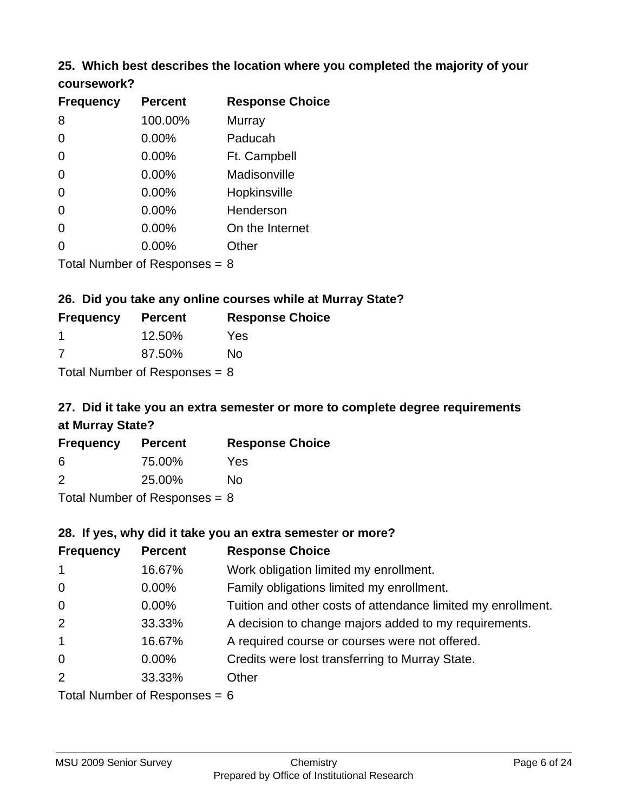#### **25. Which best describes the location where you completed the majority of your coursework?**

| <b>Frequency</b>            | <b>Percent</b> | <b>Response Choice</b> |
|-----------------------------|----------------|------------------------|
| 8                           | 100.00%        | Murray                 |
| 0                           | 0.00%          | Paducah                |
| $\overline{0}$              | 0.00%          | Ft. Campbell           |
| $\overline{0}$              | 0.00%          | Madisonville           |
| 0                           | 0.00%          | Hopkinsville           |
| 0                           | 0.00%          | Henderson              |
| 0                           | 0.00%          | On the Internet        |
| 0                           | 0.00%          | Other                  |
| Tetal Niumber of Desperance |                | ົ                      |

Total Number of Responses = 8

### **26. Did you take any online courses while at Murray State?**

| <b>Frequency</b>                | <b>Percent</b> | <b>Response Choice</b> |  |  |
|---------------------------------|----------------|------------------------|--|--|
|                                 | 12.50%         | Yes                    |  |  |
| -7                              | 87.50%         | Nο                     |  |  |
| Total Number of Responses $= 8$ |                |                        |  |  |

# **27. Did it take you an extra semester or more to complete degree requirements at Murray State?**

| <b>Frequency</b>                | <b>Percent</b> | <b>Response Choice</b> |  |  |
|---------------------------------|----------------|------------------------|--|--|
| 6                               | 75.00%         | Yes                    |  |  |
| $\mathcal{P}$                   | 25.00%         | No                     |  |  |
| Total Number of Responses = $8$ |                |                        |  |  |

### **28. If yes, why did it take you an extra semester or more?**

| <b>Frequency</b> | <b>Percent</b>                  | <b>Response Choice</b>                                       |
|------------------|---------------------------------|--------------------------------------------------------------|
| $\mathbf{1}$     | 16.67%                          | Work obligation limited my enrollment.                       |
| $\overline{0}$   | $0.00\%$                        | Family obligations limited my enrollment.                    |
| $\mathbf 0$      | $0.00\%$                        | Tuition and other costs of attendance limited my enrollment. |
| 2                | 33.33%                          | A decision to change majors added to my requirements.        |
| $\mathbf{1}$     | 16.67%                          | A required course or courses were not offered.               |
| $\mathbf 0$      | $0.00\%$                        | Credits were lost transferring to Murray State.              |
| 2                | 33.33%                          | Other                                                        |
|                  | Total Number of Responses $-$ 6 |                                                              |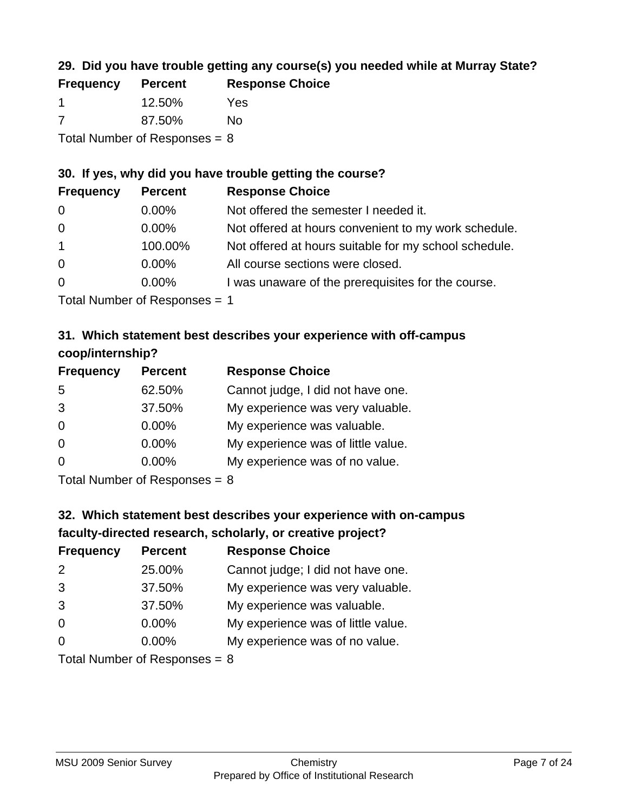### **29. Did you have trouble getting any course(s) you needed while at Murray State?**

| <b>Frequency</b>                | <b>Percent</b> | <b>Response Choice</b> |  |  |
|---------------------------------|----------------|------------------------|--|--|
|                                 | 12.50%         | Yes                    |  |  |
| -7                              | 87.50%         | No.                    |  |  |
| Total Number of Responses = $8$ |                |                        |  |  |

### **30. If yes, why did you have trouble getting the course?**

| <b>Frequency</b> | <b>Percent</b> | <b>Response Choice</b>                                |
|------------------|----------------|-------------------------------------------------------|
| $\overline{0}$   | $0.00\%$       | Not offered the semester I needed it.                 |
| $\overline{0}$   | $0.00\%$       | Not offered at hours convenient to my work schedule.  |
| $\overline{1}$   | 100.00%        | Not offered at hours suitable for my school schedule. |
| $\overline{0}$   | $0.00\%$       | All course sections were closed.                      |
| $\overline{0}$   | $0.00\%$       | I was unaware of the prerequisites for the course.    |
|                  |                |                                                       |

Total Number of Responses = 1

### **31. Which statement best describes your experience with off-campus coop/internship?**

| <b>Frequency</b> | <b>Percent</b> | <b>Response Choice</b>             |
|------------------|----------------|------------------------------------|
| 5                | 62.50%         | Cannot judge, I did not have one.  |
| 3                | 37.50%         | My experience was very valuable.   |
| $\Omega$         | $0.00\%$       | My experience was valuable.        |
| $\Omega$         | $0.00\%$       | My experience was of little value. |
| $\Omega$         | 0.00%          | My experience was of no value.     |
|                  |                |                                    |

Total Number of Responses = 8

# **32. Which statement best describes your experience with on-campus faculty-directed research, scholarly, or creative project?**

| <b>Frequency</b> | <b>Percent</b>             | <b>Response Choice</b>             |
|------------------|----------------------------|------------------------------------|
| 2                | 25.00%                     | Cannot judge; I did not have one.  |
| 3                | 37.50%                     | My experience was very valuable.   |
| 3                | 37.50%                     | My experience was valuable.        |
| $\Omega$         | $0.00\%$                   | My experience was of little value. |
| $\Omega$         | 0.00%                      | My experience was of no value.     |
|                  | Tatal Number of Desperance |                                    |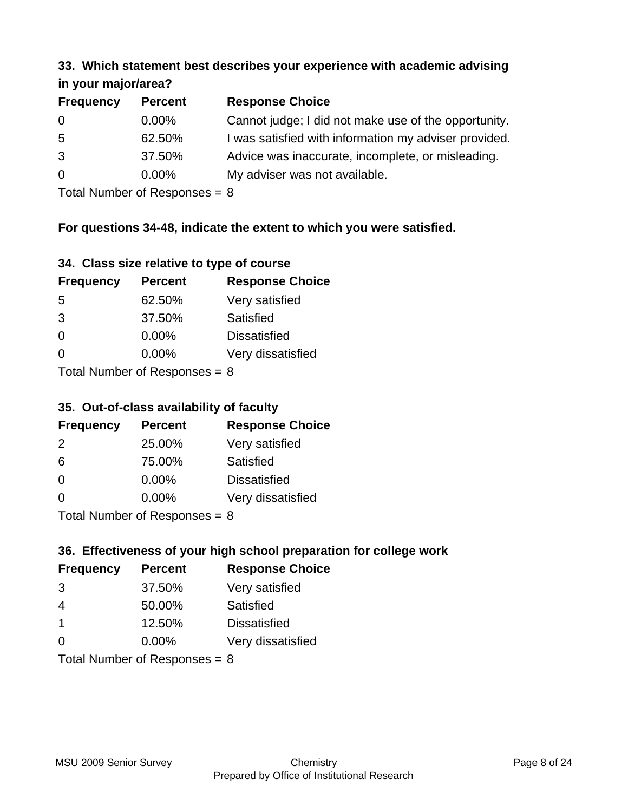#### **33. Which statement best describes your experience with academic advising in your major/area?**

| $\cdots$ your mapping out. |                |                                                       |
|----------------------------|----------------|-------------------------------------------------------|
| <b>Frequency</b>           | <b>Percent</b> | <b>Response Choice</b>                                |
| 0                          | $0.00\%$       | Cannot judge; I did not make use of the opportunity.  |
| $5\overline{)}$            | 62.50%         | I was satisfied with information my adviser provided. |
| 3                          | 37.50%         | Advice was inaccurate, incomplete, or misleading.     |
| $\overline{0}$             | $0.00\%$       | My adviser was not available.                         |
|                            |                |                                                       |

Total Number of Responses = 8

### **For questions 34-48, indicate the extent to which you were satisfied.**

| 34. Class size relative to type of course |  |  |  |  |  |  |  |  |
|-------------------------------------------|--|--|--|--|--|--|--|--|
|-------------------------------------------|--|--|--|--|--|--|--|--|

| <b>Frequency</b>              | <b>Percent</b> | <b>Response Choice</b> |  |  |
|-------------------------------|----------------|------------------------|--|--|
| -5                            | 62.50%         | Very satisfied         |  |  |
| 3                             | 37.50%         | Satisfied              |  |  |
| $\Omega$                      | $0.00\%$       | <b>Dissatisfied</b>    |  |  |
| $\Omega$                      | $0.00\%$       | Very dissatisfied      |  |  |
| $Total Number of Denance = 9$ |                |                        |  |  |

Total Number of Responses = 8

#### **35. Out-of-class availability of faculty**

| <b>Frequency</b> | <b>Percent</b>            | <b>Response Choice</b> |
|------------------|---------------------------|------------------------|
| $\mathcal{P}$    | 25.00%                    | Very satisfied         |
| 6                | 75.00%                    | Satisfied              |
| $\Omega$         | $0.00\%$                  | <b>Dissatisfied</b>    |
| $\Omega$         | $0.00\%$                  | Very dissatisfied      |
|                  | Total Number of Deepensee |                        |

Total Number of Responses = 8

## **36. Effectiveness of your high school preparation for college work**

| <b>Frequency</b>              | <b>Percent</b> | <b>Response Choice</b> |  |  |
|-------------------------------|----------------|------------------------|--|--|
| 3                             | 37.50%         | Very satisfied         |  |  |
| 4                             | 50.00%         | Satisfied              |  |  |
| -1                            | 12.50%         | <b>Dissatisfied</b>    |  |  |
| $\Omega$                      | 0.00%          | Very dissatisfied      |  |  |
| $Total Number of Denonce - Q$ |                |                        |  |  |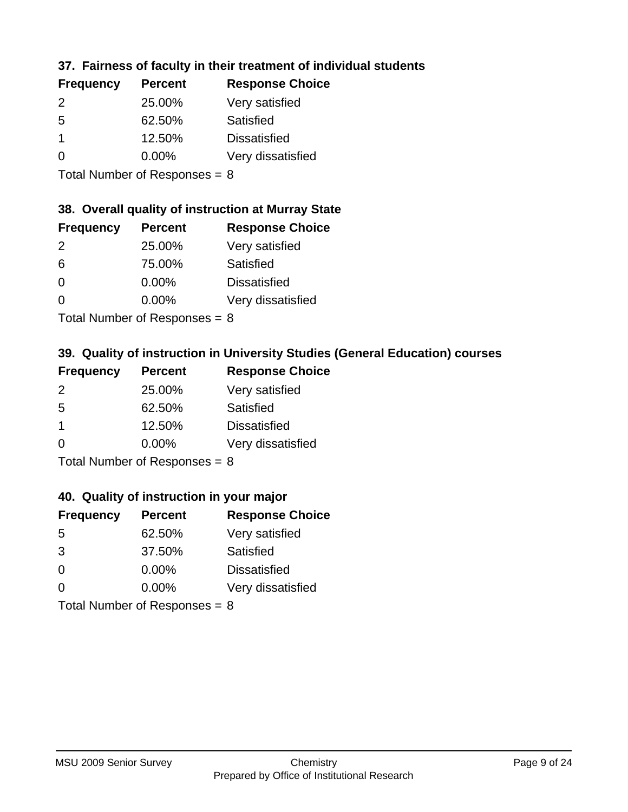### **37. Fairness of faculty in their treatment of individual students**

| <b>Frequency</b> | <b>Percent</b> | <b>Response Choice</b> |
|------------------|----------------|------------------------|
| $\mathcal{P}$    | 25.00%         | Very satisfied         |
| .5               | 62.50%         | Satisfied              |
|                  | 12.50%         | <b>Dissatisfied</b>    |
| $\Omega$         | $0.00\%$       | Very dissatisfied      |
|                  |                |                        |

Total Number of Responses = 8

#### **38. Overall quality of instruction at Murray State**

| <b>Frequency</b> | <b>Percent</b> | <b>Response Choice</b> |
|------------------|----------------|------------------------|
| $\mathcal{P}$    | 25.00%         | Very satisfied         |
| 6                | 75.00%         | Satisfied              |
| $\Omega$         | 0.00%          | <b>Dissatisfied</b>    |
| ∩                | 0.00%          | Very dissatisfied      |
|                  |                |                        |

Total Number of Responses  $= 8$ 

### **39. Quality of instruction in University Studies (General Education) courses**

| <b>Frequency</b> | <b>Percent</b>             | <b>Response Choice</b> |
|------------------|----------------------------|------------------------|
| 2                | 25.00%                     | Very satisfied         |
| 5                | 62.50%                     | Satisfied              |
| -1               | 12.50%                     | <b>Dissatisfied</b>    |
| $\Omega$         | 0.00%                      | Very dissatisfied      |
|                  | Tatal Manakan af Dagmanage |                        |

Total Number of Responses = 8

#### **40. Quality of instruction in your major**

| <b>Frequency</b> | <b>Percent</b>            | <b>Response Choice</b> |
|------------------|---------------------------|------------------------|
| 5                | 62.50%                    | Very satisfied         |
| 3                | 37.50%                    | Satisfied              |
| $\Omega$         | 0.00%                     | <b>Dissatisfied</b>    |
| $\Omega$         | 0.00%                     | Very dissatisfied      |
|                  | Total Number of Deepersee |                        |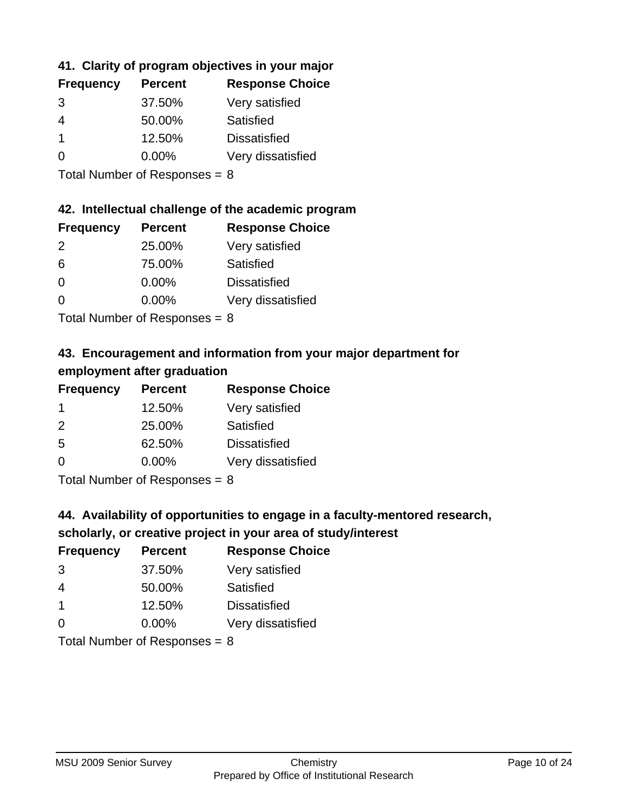### **41. Clarity of program objectives in your major**

| <b>Frequency</b> | <b>Percent</b> | <b>Response Choice</b> |
|------------------|----------------|------------------------|
| 3                | 37.50%         | Very satisfied         |
| 4                | 50.00%         | Satisfied              |
|                  | 12.50%         | <b>Dissatisfied</b>    |
| ∩                | $0.00\%$       | Very dissatisfied      |
|                  |                |                        |

Total Number of Responses = 8

#### **42. Intellectual challenge of the academic program**

| <b>Frequency</b> | <b>Percent</b> | <b>Response Choice</b> |
|------------------|----------------|------------------------|
| $\mathcal{P}$    | 25.00%         | Very satisfied         |
| 6                | 75.00%         | Satisfied              |
| $\Omega$         | 0.00%          | <b>Dissatisfied</b>    |
| ∩                | 0.00%          | Very dissatisfied      |
|                  |                |                        |

Total Number of Responses = 8

## **43. Encouragement and information from your major department for employment after graduation**

| <b>Frequency</b> | <b>Percent</b> | <b>Response Choice</b> |
|------------------|----------------|------------------------|
| 1                | 12.50%         | Very satisfied         |
| 2                | 25.00%         | Satisfied              |
| 5                | 62.50%         | <b>Dissatisfied</b>    |
| $\Omega$         | 0.00%          | Very dissatisfied      |
|                  |                |                        |

Total Number of Responses = 8

### **44. Availability of opportunities to engage in a faculty-mentored research,**

### **scholarly, or creative project in your area of study/interest**

| <b>Frequency</b> | <b>Percent</b> | <b>Response Choice</b> |
|------------------|----------------|------------------------|
| 3                | 37.50%         | Very satisfied         |
| 4                | 50.00%         | Satisfied              |
| $\overline{1}$   | 12.50%         | <b>Dissatisfied</b>    |
| $\Omega$         | 0.00%          | Very dissatisfied      |
|                  |                |                        |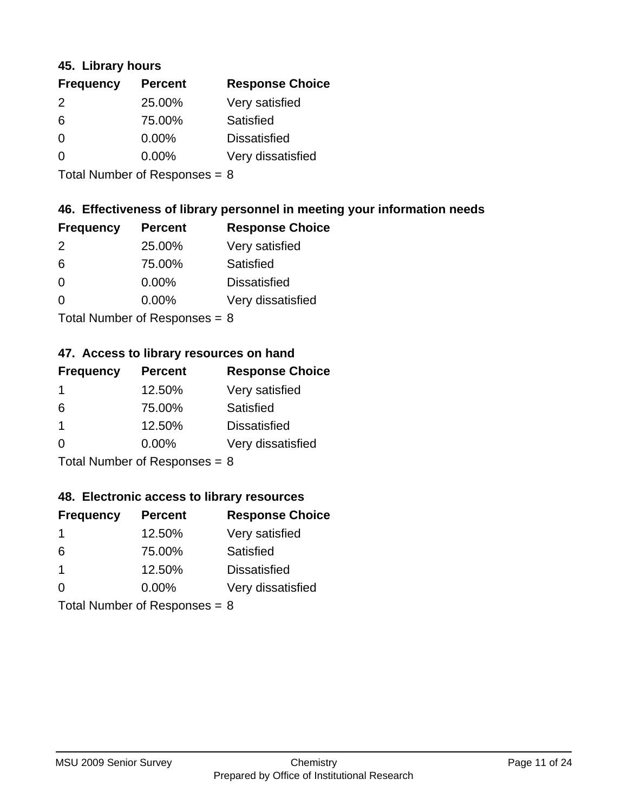#### **45. Library hours**

| <b>Frequency</b> | <b>Percent</b> | <b>Response Choice</b> |
|------------------|----------------|------------------------|
| $\mathcal{P}$    | 25.00%         | Very satisfied         |
| 6                | 75.00%         | Satisfied              |
| $\Omega$         | 0.00%          | <b>Dissatisfied</b>    |
| $\Omega$         | 0.00%          | Very dissatisfied      |
|                  |                |                        |

Total Number of Responses  $= 8$ 

### **46. Effectiveness of library personnel in meeting your information needs**

| <b>Frequency</b> | <b>Percent</b> | <b>Response Choice</b> |
|------------------|----------------|------------------------|
| $\mathcal{P}$    | 25.00%         | Very satisfied         |
| 6                | 75.00%         | Satisfied              |
| $\Omega$         | 0.00%          | <b>Dissatisfied</b>    |
| O                | $0.00\%$       | Very dissatisfied      |
|                  |                |                        |

Total Number of Responses = 8

### **47. Access to library resources on hand**

| <b>Frequency</b> | <b>Percent</b>            | <b>Response Choice</b> |
|------------------|---------------------------|------------------------|
|                  | 12.50%                    | Very satisfied         |
| 6                | 75.00%                    | Satisfied              |
| -1               | 12.50%                    | <b>Dissatisfied</b>    |
| ∩                | 0.00%                     | Very dissatisfied      |
|                  | Total Number of Deepensee |                        |

Total Number of Responses = 8

#### **48. Electronic access to library resources**

| <b>Frequency</b>                | <b>Percent</b> | <b>Response Choice</b> |
|---------------------------------|----------------|------------------------|
| 1                               | 12.50%         | Very satisfied         |
| 6                               | 75.00%         | Satisfied              |
| -1                              | 12.50%         | <b>Dissatisfied</b>    |
| $\Omega$                        | $0.00\%$       | Very dissatisfied      |
| Total Number of Responses = $8$ |                |                        |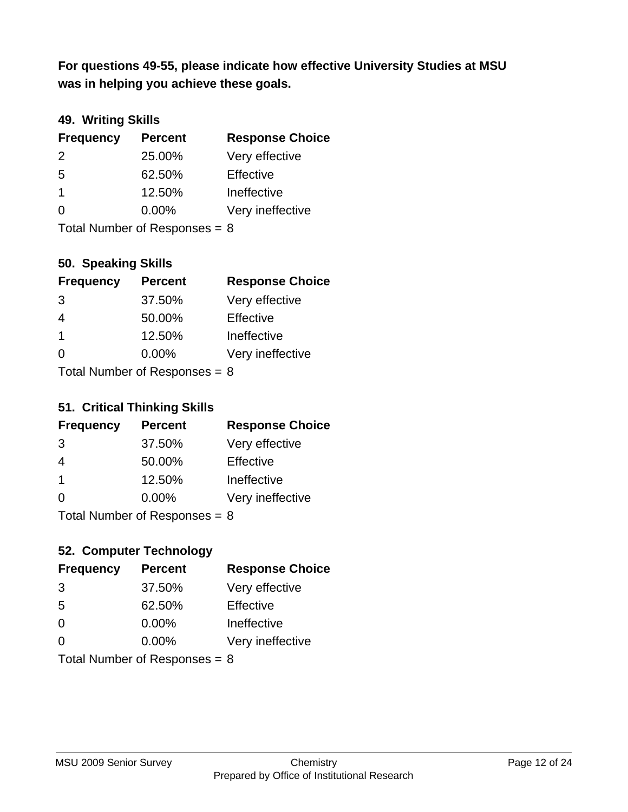**was in helping you achieve these goals. For questions 49-55, please indicate how effective University Studies at MSU** 

### **49. Writing Skills**

| <b>Frequency</b>                | <b>Percent</b> | <b>Response Choice</b> |
|---------------------------------|----------------|------------------------|
| $\mathcal{P}$                   | 25.00%         | Very effective         |
| 5                               | 62.50%         | Effective              |
| $\mathbf 1$                     | 12.50%         | Ineffective            |
| $\Omega$                        | $0.00\%$       | Very ineffective       |
| Total Number of Responses = $8$ |                |                        |

**50. Speaking Skills**

| <b>Frequency</b> | <b>Percent</b>            | <b>Response Choice</b> |
|------------------|---------------------------|------------------------|
| 3                | 37.50%                    | Very effective         |
| 4                | 50.00%                    | Effective              |
| $\mathbf 1$      | 12.50%                    | Ineffective            |
| $\Omega$         | 0.00%                     | Very ineffective       |
|                  | Total Number of Desponses |                        |

Total Number of Responses = 8

#### **51. Critical Thinking Skills**

| <b>Frequency</b> | <b>Percent</b>            | <b>Response Choice</b> |
|------------------|---------------------------|------------------------|
| 3                | 37.50%                    | Very effective         |
| 4                | 50.00%                    | Effective              |
| -1               | 12.50%                    | Ineffective            |
| $\Omega$         | 0.00%                     | Very ineffective       |
|                  | Total Number of Deepensee |                        |

Total Number of Responses = 8

### **52. Computer Technology**

| <b>Frequency</b>                | <b>Percent</b> | <b>Response Choice</b> |
|---------------------------------|----------------|------------------------|
| 3                               | 37.50%         | Very effective         |
| 5                               | 62.50%         | Effective              |
| $\Omega$                        | $0.00\%$       | Ineffective            |
| $\Omega$                        | 0.00%          | Very ineffective       |
| Total Number of Responses = $8$ |                |                        |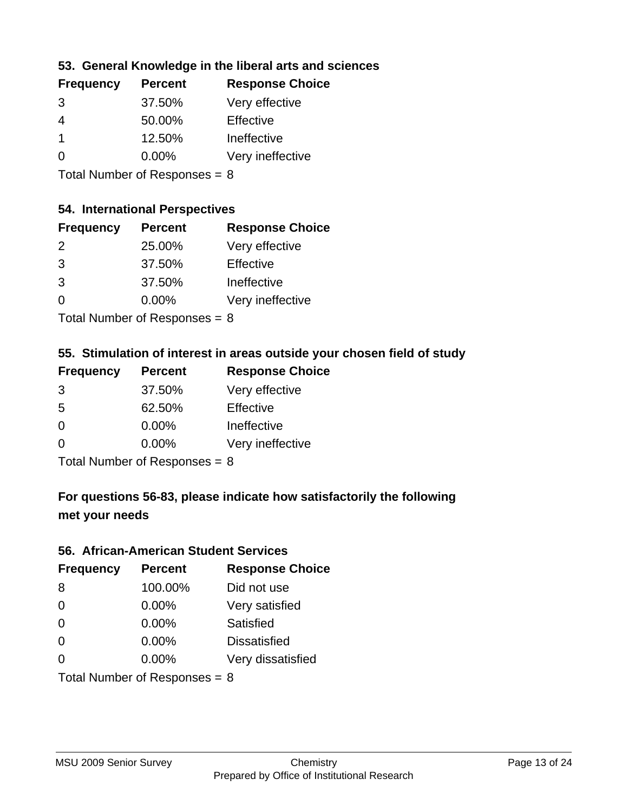### **53. General Knowledge in the liberal arts and sciences**

| <b>Frequency</b> | <b>Percent</b> | <b>Response Choice</b> |
|------------------|----------------|------------------------|
| 3                | 37.50%         | Very effective         |
| 4                | 50.00%         | Effective              |
|                  | 12.50%         | Ineffective            |
| $\Omega$         | $0.00\%$       | Very ineffective       |
|                  |                |                        |

Total Number of Responses = 8

#### **54. International Perspectives**

| <b>Frequency</b> | <b>Percent</b> | <b>Response Choice</b> |
|------------------|----------------|------------------------|
| $\mathcal{P}$    | 25.00%         | Very effective         |
| 3                | 37.50%         | Effective              |
| 3                | 37.50%         | Ineffective            |
| 0                | 0.00%          | Very ineffective       |
|                  |                |                        |

Total Number of Responses  $= 8$ 

### **55. Stimulation of interest in areas outside your chosen field of study**

| <b>Frequency</b> | <b>Percent</b>            | <b>Response Choice</b> |
|------------------|---------------------------|------------------------|
| 3                | 37.50%                    | Very effective         |
| .5               | 62.50%                    | Effective              |
| $\Omega$         | 0.00%                     | Ineffective            |
| $\Omega$         | 0.00%                     | Very ineffective       |
|                  | Total Number of Deepensee |                        |

Total Number of Responses = 8

# **For questions 56-83, please indicate how satisfactorily the following met your needs**

#### **56. African-American Student Services**

| <b>Frequency</b>                | <b>Percent</b> | <b>Response Choice</b> |
|---------------------------------|----------------|------------------------|
| 8                               | 100.00%        | Did not use            |
| $\Omega$                        | 0.00%          | Very satisfied         |
| $\Omega$                        | 0.00%          | Satisfied              |
| $\Omega$                        | $0.00\%$       | <b>Dissatisfied</b>    |
| $\Omega$                        | 0.00%          | Very dissatisfied      |
| Total Number of Responses = $8$ |                |                        |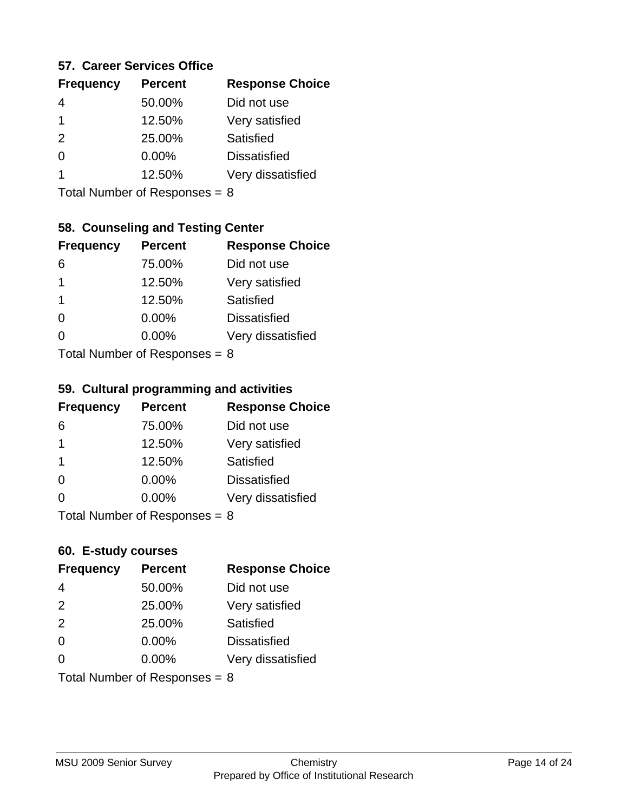#### **57. Career Services Office**

| <b>Frequency</b> | <b>Percent</b> | <b>Response Choice</b> |
|------------------|----------------|------------------------|
|                  | 50.00%         | Did not use            |
|                  | 12.50%         | Very satisfied         |
| $\mathcal{P}$    | 25.00%         | Satisfied              |
|                  | 0.00%          | <b>Dissatisfied</b>    |
|                  | 12.50%         | Very dissatisfied      |
|                  |                |                        |

Total Number of Responses = 8

#### **58. Counseling and Testing Center**

| <b>Frequency</b>          | <b>Percent</b> | <b>Response Choice</b> |
|---------------------------|----------------|------------------------|
| 6                         | 75.00%         | Did not use            |
| 1                         | 12.50%         | Very satisfied         |
| 1                         | 12.50%         | Satisfied              |
| ∩                         | 0.00%          | <b>Dissatisfied</b>    |
| ∩                         | 0.00%          | Very dissatisfied      |
| Total Number of Desponses |                |                        |

Total Number of Responses = 8

#### **59. Cultural programming and activities**

| <b>Frequency</b>                | <b>Percent</b> | <b>Response Choice</b> |
|---------------------------------|----------------|------------------------|
| 6                               | 75.00%         | Did not use            |
| -1                              | 12.50%         | Very satisfied         |
| -1                              | 12.50%         | Satisfied              |
| $\Omega$                        | $0.00\%$       | <b>Dissatisfied</b>    |
| $\Omega$                        | $0.00\%$       | Very dissatisfied      |
| Total Number of Responses = $8$ |                |                        |

#### **60. E-study courses**

| <b>Frequency</b>                | <b>Percent</b> | <b>Response Choice</b> |
|---------------------------------|----------------|------------------------|
| 4                               | 50.00%         | Did not use            |
| 2                               | 25.00%         | Very satisfied         |
| 2                               | 25.00%         | Satisfied              |
| $\Omega$                        | 0.00%          | <b>Dissatisfied</b>    |
| ∩                               | $0.00\%$       | Very dissatisfied      |
| Total Number of Responses = $8$ |                |                        |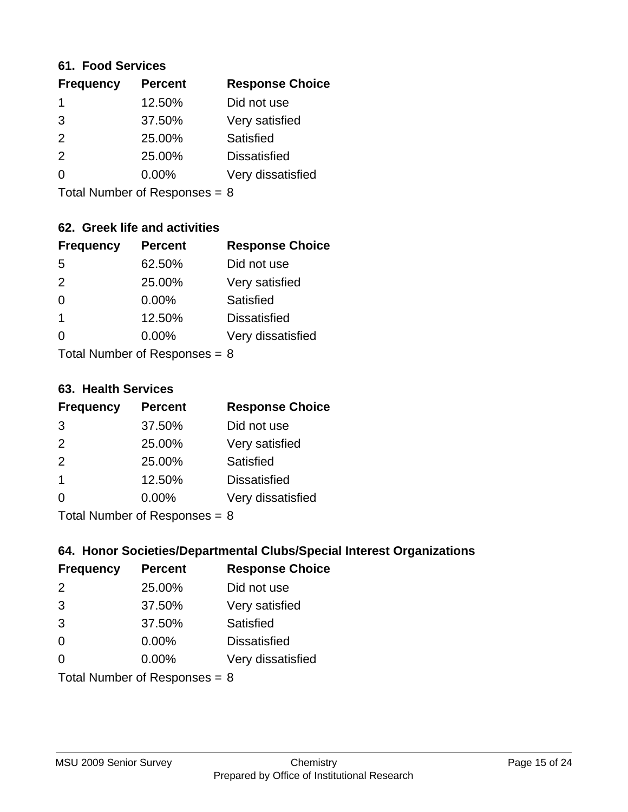#### **61. Food Services**

| <b>Frequency</b> | <b>Percent</b> | <b>Response Choice</b> |
|------------------|----------------|------------------------|
|                  | 12.50%         | Did not use            |
| 3                | 37.50%         | Very satisfied         |
| 2                | 25.00%         | Satisfied              |
| $\mathcal{P}$    | 25.00%         | <b>Dissatisfied</b>    |
| ∩                | 0.00%          | Very dissatisfied      |
|                  |                |                        |

Total Number of Responses = 8

### **62. Greek life and activities**

| <b>Frequency</b> | <b>Percent</b>                  | <b>Response Choice</b> |
|------------------|---------------------------------|------------------------|
| 5                | 62.50%                          | Did not use            |
| 2                | 25.00%                          | Very satisfied         |
| $\Omega$         | 0.00%                           | Satisfied              |
| 1                | 12.50%                          | <b>Dissatisfied</b>    |
|                  | $0.00\%$                        | Very dissatisfied      |
|                  | Total Number of Responses = $8$ |                        |

**63. Health Services**

| <b>Frequency</b> | <b>Percent</b>             | <b>Response Choice</b> |
|------------------|----------------------------|------------------------|
| 3                | 37.50%                     | Did not use            |
| 2                | 25.00%                     | Very satisfied         |
| 2                | 25.00%                     | Satisfied              |
| $\overline{1}$   | 12.50%                     | <b>Dissatisfied</b>    |
| $\Omega$         | 0.00%                      | Very dissatisfied      |
|                  | Total Number of Desperance |                        |

Total Number of Responses = 8

### **64. Honor Societies/Departmental Clubs/Special Interest Organizations**

| <b>Frequency</b> | <b>Percent</b>                  | <b>Response Choice</b> |
|------------------|---------------------------------|------------------------|
| $\mathcal{P}$    | 25.00%                          | Did not use            |
| 3                | 37.50%                          | Very satisfied         |
| 3                | 37.50%                          | Satisfied              |
| $\Omega$         | 0.00%                           | <b>Dissatisfied</b>    |
| $\Omega$         | 0.00%                           | Very dissatisfied      |
|                  | Total Number of Responses = $8$ |                        |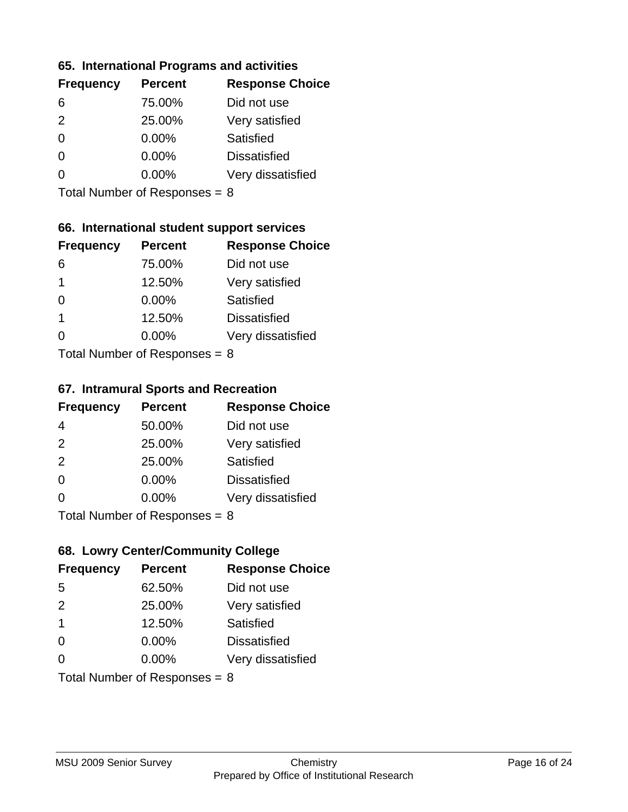#### **65. International Programs and activities**

| <b>Frequency</b> | <b>Percent</b> | <b>Response Choice</b> |
|------------------|----------------|------------------------|
| 6                | 75.00%         | Did not use            |
| $\mathcal{P}$    | 25.00%         | Very satisfied         |
| 0                | $0.00\%$       | Satisfied              |
| 0                | $0.00\%$       | <b>Dissatisfied</b>    |
|                  | $0.00\%$       | Very dissatisfied      |
|                  |                |                        |

Total Number of Responses = 8

### **66. International student support services**

| <b>Frequency</b> | <b>Percent</b>            | <b>Response Choice</b> |
|------------------|---------------------------|------------------------|
| 6                | 75.00%                    | Did not use            |
| 1                | 12.50%                    | Very satisfied         |
| $\Omega$         | $0.00\%$                  | Satisfied              |
| 1                | 12.50%                    | <b>Dissatisfied</b>    |
| 0                | 0.00%                     | Very dissatisfied      |
|                  | Total Number of DoEROR 0. |                        |

Total Number of Responses = 8

#### **67. Intramural Sports and Recreation**

| <b>Frequency</b> | <b>Percent</b>                         | <b>Response Choice</b> |
|------------------|----------------------------------------|------------------------|
| 4                | 50.00%                                 | Did not use            |
| 2                | 25.00%                                 | Very satisfied         |
| 2                | 25.00%                                 | Satisfied              |
| $\Omega$         | $0.00\%$                               | <b>Dissatisfied</b>    |
| $\Omega$         | $0.00\%$                               | Very dissatisfied      |
|                  | $Total Number of Denonce -\frac{1}{2}$ |                        |

Total Number of Responses = 8

### **68. Lowry Center/Community College**

| <b>Frequency</b>        | <b>Percent</b>                  | <b>Response Choice</b> |
|-------------------------|---------------------------------|------------------------|
| 5                       | 62.50%                          | Did not use            |
| 2                       | 25.00%                          | Very satisfied         |
| $\overline{\mathbf{1}}$ | 12.50%                          | Satisfied              |
| $\Omega$                | 0.00%                           | <b>Dissatisfied</b>    |
| $\Omega$                | $0.00\%$                        | Very dissatisfied      |
|                         | Total Number of Responses = $8$ |                        |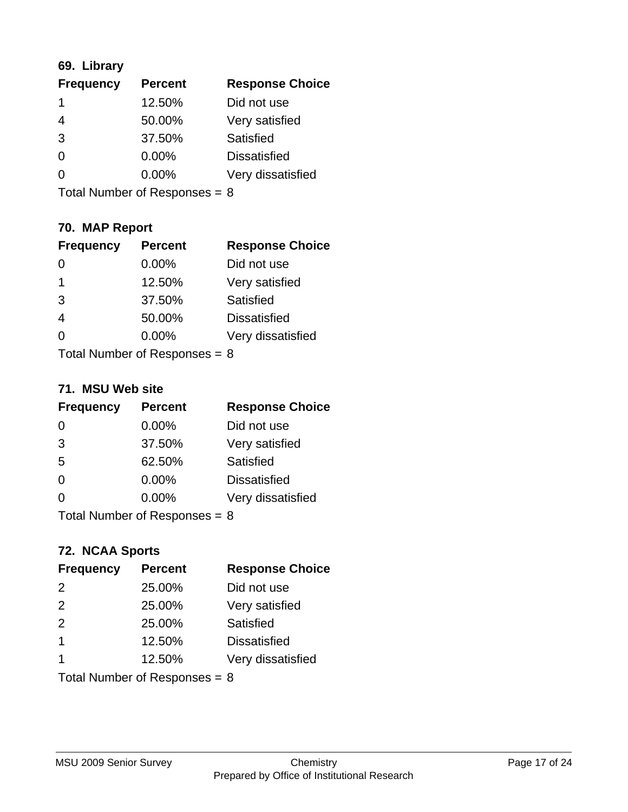### **69. Library**

| <b>Frequency</b> | <b>Percent</b> | <b>Response Choice</b> |
|------------------|----------------|------------------------|
|                  | 12.50%         | Did not use            |
| 4                | 50.00%         | Very satisfied         |
| 3                | 37.50%         | Satisfied              |
| $\Omega$         | $0.00\%$       | <b>Dissatisfied</b>    |
| O                | $0.00\%$       | Very dissatisfied      |
|                  |                |                        |

Total Number of Responses = 8

### **70. MAP Report**

| <b>Frequency</b>                | <b>Percent</b> | <b>Response Choice</b> |
|---------------------------------|----------------|------------------------|
|                                 | 0.00%          | Did not use            |
| -1                              | 12.50%         | Very satisfied         |
| 3                               | 37.50%         | Satisfied              |
| $\overline{4}$                  | 50.00%         | <b>Dissatisfied</b>    |
| ∩                               | 0.00%          | Very dissatisfied      |
| Total Number of Responses = $8$ |                |                        |

#### **71. MSU Web site**

| <b>Frequency</b> | <b>Percent</b>                  | <b>Response Choice</b> |
|------------------|---------------------------------|------------------------|
| $\Omega$         | 0.00%                           | Did not use            |
| 3                | 37.50%                          | Very satisfied         |
| 5                | 62.50%                          | Satisfied              |
| $\Omega$         | 0.00%                           | <b>Dissatisfied</b>    |
| $\Omega$         | 0.00%                           | Very dissatisfied      |
|                  | Total Number of Responses = $8$ |                        |

### **72. NCAA Sports**

| <b>Frequency</b> | <b>Percent</b>                  | <b>Response Choice</b> |
|------------------|---------------------------------|------------------------|
| 2                | 25.00%                          | Did not use            |
| 2                | 25.00%                          | Very satisfied         |
| 2                | 25.00%                          | Satisfied              |
| $\overline{1}$   | 12.50%                          | <b>Dissatisfied</b>    |
|                  | 12.50%                          | Very dissatisfied      |
|                  | Total Number of Responses = $8$ |                        |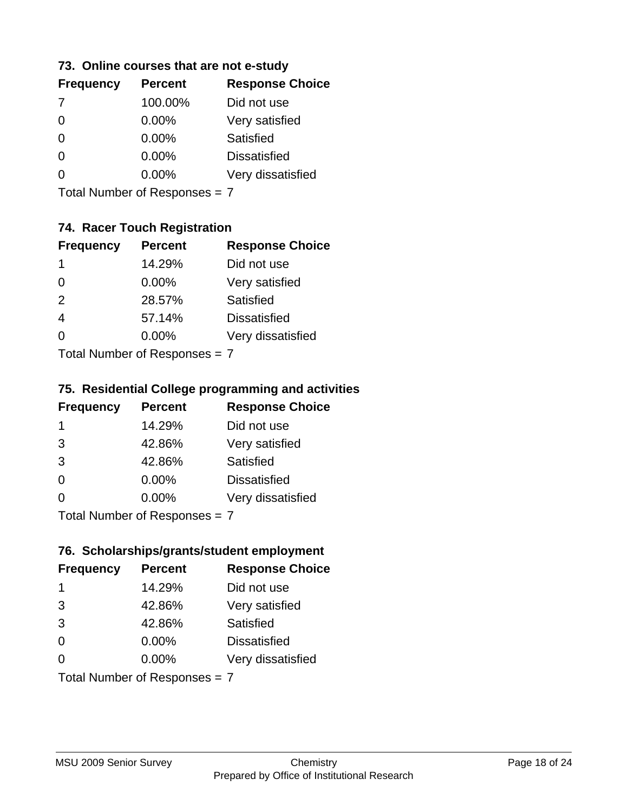#### **73. Online courses that are not e-study**

| <b>Frequency</b> | <b>Percent</b> | <b>Response Choice</b> |
|------------------|----------------|------------------------|
| 7                | 100.00%        | Did not use            |
|                  | 0.00%          | Very satisfied         |
|                  | $0.00\%$       | Satisfied              |
|                  | $0.00\%$       | <b>Dissatisfied</b>    |
|                  | $0.00\%$       | Very dissatisfied      |
|                  |                |                        |

Total Number of Responses = 7

### **74. Racer Touch Registration**

| <b>Frequency</b>              | <b>Percent</b> | <b>Response Choice</b> |
|-------------------------------|----------------|------------------------|
| 1                             | 14.29%         | Did not use            |
| $\Omega$                      | 0.00%          | Very satisfied         |
| 2                             | 28.57%         | Satisfied              |
| 4                             | 57.14%         | <b>Dissatisfied</b>    |
| 0                             | 0.00%          | Very dissatisfied      |
| $Total Number of Denonee = 7$ |                |                        |

Total Number of Responses = 7

#### **75. Residential College programming and activities**

| <b>Frequency</b> | <b>Percent</b>            | <b>Response Choice</b> |
|------------------|---------------------------|------------------------|
| -1               | 14.29%                    | Did not use            |
| 3                | 42.86%                    | Very satisfied         |
| 3                | 42.86%                    | Satisfied              |
| $\Omega$         | $0.00\%$                  | <b>Dissatisfied</b>    |
| $\Omega$         | 0.00%                     | Very dissatisfied      |
|                  | Total Number of Desponses |                        |

Total Number of Responses = 7

### **76. Scholarships/grants/student employment**

| <b>Frequency</b>              | <b>Percent</b> | <b>Response Choice</b> |
|-------------------------------|----------------|------------------------|
| 1                             | 14.29%         | Did not use            |
| 3                             | 42.86%         | Very satisfied         |
| 3                             | 42.86%         | Satisfied              |
| $\Omega$                      | 0.00%          | <b>Dissatisfied</b>    |
| 0                             | $0.00\%$       | Very dissatisfied      |
| Total Number of Responses = 7 |                |                        |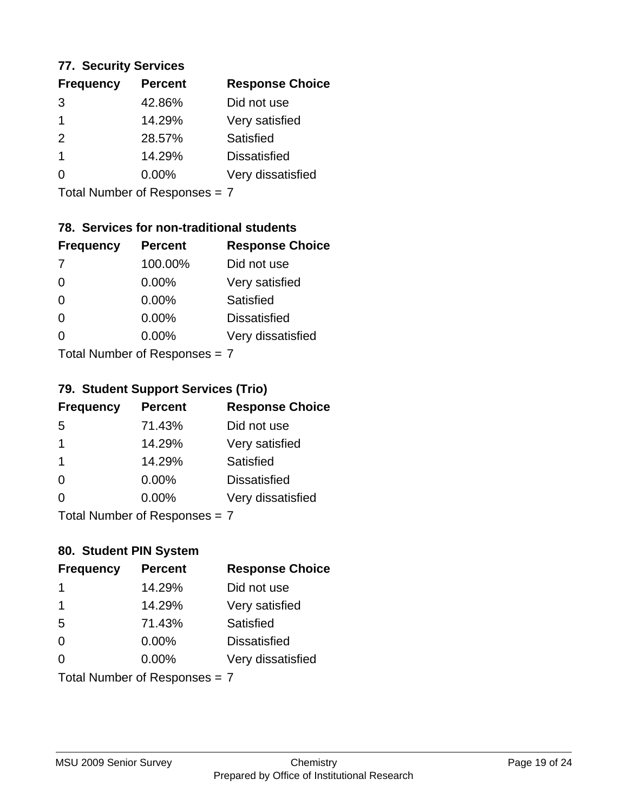#### **77. Security Services**

| <b>Frequency</b> | <b>Percent</b> | <b>Response Choice</b> |
|------------------|----------------|------------------------|
| 3                | 42.86%         | Did not use            |
|                  | 14.29%         | Very satisfied         |
| $\mathcal{P}$    | 28.57%         | Satisfied              |
|                  | 14.29%         | <b>Dissatisfied</b>    |
| O                | $0.00\%$       | Very dissatisfied      |

Total Number of Responses = 7

### **78. Services for non-traditional students**

| <b>Frequency</b>                | <b>Percent</b> | <b>Response Choice</b> |
|---------------------------------|----------------|------------------------|
| -7                              | 100.00%        | Did not use            |
| $\Omega$                        | 0.00%          | Very satisfied         |
| $\Omega$                        | 0.00%          | <b>Satisfied</b>       |
| $\Omega$                        | 0.00%          | <b>Dissatisfied</b>    |
| ∩                               | 0.00%          | Very dissatisfied      |
| $Total Number of Doepopoog = 7$ |                |                        |

Total Number of Responses = 7

### **79. Student Support Services (Trio)**

| <b>Frequency</b>            | <b>Percent</b> | <b>Response Choice</b> |
|-----------------------------|----------------|------------------------|
| -5                          | 71.43%         | Did not use            |
| -1                          | 14.29%         | Very satisfied         |
| $\mathbf 1$                 | 14.29%         | <b>Satisfied</b>       |
| $\Omega$                    | $0.00\%$       | <b>Dissatisfied</b>    |
| ∩                           | 0.00%          | Very dissatisfied      |
| Total Number of Despanses 7 |                |                        |

Total Number of Responses = 7

## **80. Student PIN System**

| <b>Frequency</b>              | <b>Percent</b> | <b>Response Choice</b> |
|-------------------------------|----------------|------------------------|
| 1                             | 14.29%         | Did not use            |
| 1                             | 14.29%         | Very satisfied         |
| 5                             | 71.43%         | Satisfied              |
| $\Omega$                      | $0.00\%$       | <b>Dissatisfied</b>    |
| 0                             | 0.00%          | Very dissatisfied      |
| Total Number of Responses = 7 |                |                        |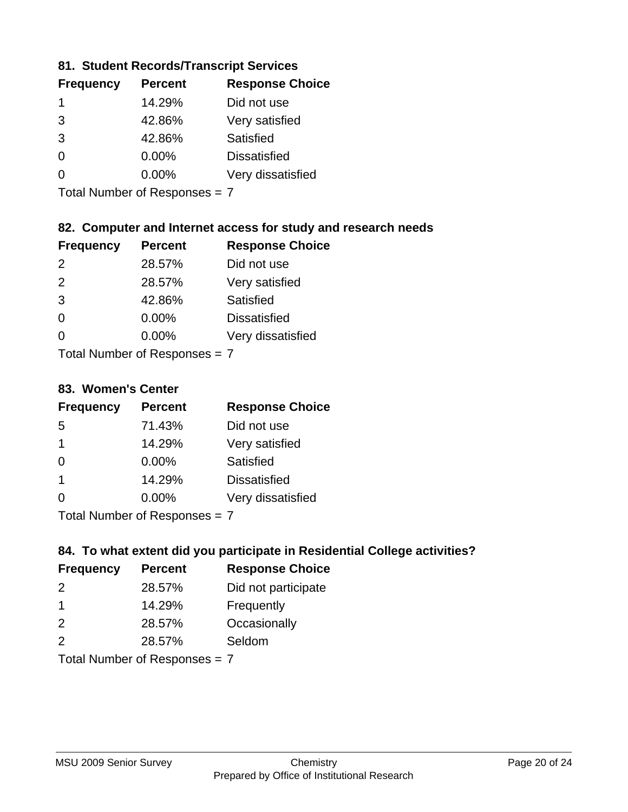### **81. Student Records/Transcript Services**

| <b>Frequency</b> | <b>Percent</b> | <b>Response Choice</b> |
|------------------|----------------|------------------------|
|                  | 14.29%         | Did not use            |
| 3                | 42.86%         | Very satisfied         |
| 3                | 42.86%         | Satisfied              |
| $\Omega$         | 0.00%          | <b>Dissatisfied</b>    |
|                  | $0.00\%$       | Very dissatisfied      |

Total Number of Responses = 7

### **82. Computer and Internet access for study and research needs**

| <b>Frequency</b> | <b>Percent</b>             | <b>Response Choice</b> |
|------------------|----------------------------|------------------------|
| $\mathcal{P}$    | 28.57%                     | Did not use            |
| 2                | 28.57%                     | Very satisfied         |
| 3                | 42.86%                     | Satisfied              |
| 0                | 0.00%                      | <b>Dissatisfied</b>    |
| 0                | 0.00%                      | Very dissatisfied      |
|                  | Tatal Number of Desperance |                        |

Total Number of Responses = 7

#### **83. Women's Center**

| <b>Frequency</b>                       | <b>Percent</b> | <b>Response Choice</b> |
|----------------------------------------|----------------|------------------------|
| -5                                     | 71.43%         | Did not use            |
| 1                                      | 14.29%         | Very satisfied         |
| $\Omega$                               | 0.00%          | Satisfied              |
| $\overline{1}$                         | 14.29%         | <b>Dissatisfied</b>    |
| ∩                                      | 0.00%          | Very dissatisfied      |
| $\tau$ . $\tau$ . In the set of $\tau$ |                |                        |

Total Number of Responses = 7

### **84. To what extent did you participate in Residential College activities?**

| <b>Frequency</b> | <b>Percent</b> | <b>Response Choice</b> |
|------------------|----------------|------------------------|
| $\mathcal{P}$    | 28.57%         | Did not participate    |
| $\overline{1}$   | 14.29%         | Frequently             |
| 2                | 28.57%         | Occasionally           |
| $\mathcal{P}$    | 28.57%         | Seldom                 |
|                  |                |                        |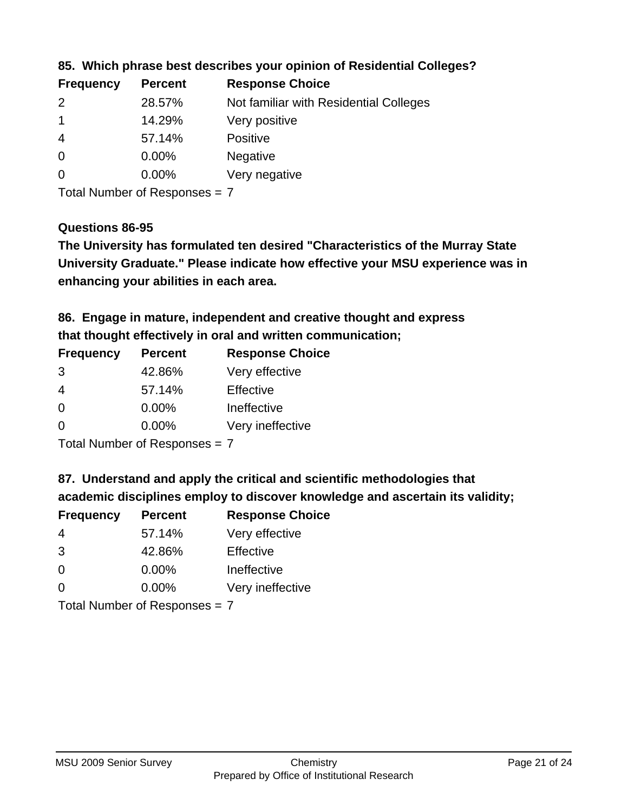| <b>Frequency</b> | <b>Percent</b> | <b>Response Choice</b>                 |
|------------------|----------------|----------------------------------------|
| $\mathcal{P}$    | 28.57%         | Not familiar with Residential Colleges |
|                  | 14.29%         | Very positive                          |
| -4               | 57.14%         | <b>Positive</b>                        |
| $\overline{0}$   | 0.00%          | <b>Negative</b>                        |
| 0                | $0.00\%$       | Very negative                          |

**85. Which phrase best describes your opinion of Residential Colleges?**

Total Number of Responses = 7

#### **Questions 86-95**

**University Graduate." Please indicate how effective your MSU experience was in The University has formulated ten desired "Characteristics of the Murray State enhancing your abilities in each area.**

**86. Engage in mature, independent and creative thought and express that thought effectively in oral and written communication;**

| <b>Frequency</b> | <b>Percent</b> | <b>Response Choice</b> |
|------------------|----------------|------------------------|
| 3                | 42.86%         | Very effective         |
| 4                | 57.14%         | Effective              |
| $\Omega$         | $0.00\%$       | Ineffective            |
| $\Omega$         | $0.00\%$       | Very ineffective       |

Total Number of Responses = 7

**87. Understand and apply the critical and scientific methodologies that** 

**academic disciplines employ to discover knowledge and ascertain its validity;**

| <b>Frequency</b> | <b>Percent</b> | <b>Response Choice</b> |
|------------------|----------------|------------------------|
| 4                | 57.14%         | Very effective         |
| 3                | 42.86%         | Effective              |
| $\Omega$         | 0.00%          | Ineffective            |
| ∩                | 0.00%          | Very ineffective       |
|                  |                |                        |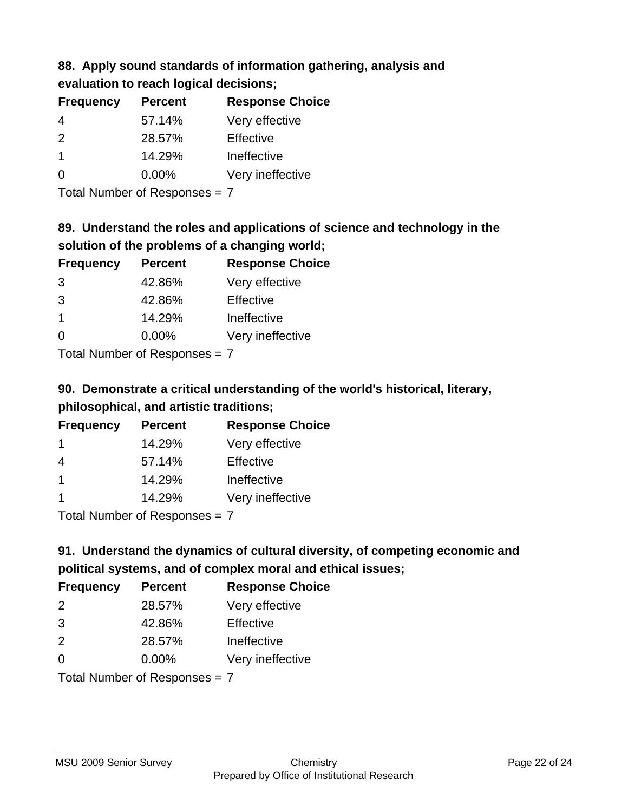# **88. Apply sound standards of information gathering, analysis and evaluation to reach logical decisions;**

| <b>Frequency</b> | <b>Percent</b> | <b>Response Choice</b> |
|------------------|----------------|------------------------|
| 4                | 57.14%         | Very effective         |
| $\mathcal{P}$    | 28.57%         | Effective              |
|                  | 14.29%         | Ineffective            |
| ∩                | $0.00\%$       | Very ineffective       |

Total Number of Responses = 7

# **89. Understand the roles and applications of science and technology in the solution of the problems of a changing world;**

| <b>Frequency</b>                                        | <b>Percent</b> | <b>Response Choice</b> |
|---------------------------------------------------------|----------------|------------------------|
| 3                                                       | 42.86%         | Very effective         |
| 3                                                       | 42.86%         | Effective              |
| $\blacktriangleleft$                                    | 14.29%         | Ineffective            |
| $\Omega$                                                | 0.00%          | Very ineffective       |
| $T$ at all Masseds and $R$ $\sim$ and $\sim$ and $\sim$ |                |                        |

Total Number of Responses = 7

# **90. Demonstrate a critical understanding of the world's historical, literary, philosophical, and artistic traditions;**

| <b>Frequency</b>     | <b>Percent</b> | <b>Response Choice</b> |
|----------------------|----------------|------------------------|
| -1                   | 14.29%         | Very effective         |
| 4                    | 57.14%         | Effective              |
| $\blacktriangleleft$ | 14.29%         | Ineffective            |
|                      | 14.29%         | Very ineffective       |
|                      |                |                        |

Total Number of Responses = 7

# **91. Understand the dynamics of cultural diversity, of competing economic and political systems, and of complex moral and ethical issues;**

| <b>Frequency</b>              | <b>Percent</b> | <b>Response Choice</b> |
|-------------------------------|----------------|------------------------|
| 2                             | 28.57%         | Very effective         |
| 3                             | 42.86%         | Effective              |
| 2                             | 28.57%         | Ineffective            |
| $\Omega$                      | 0.00%          | Very ineffective       |
| Total Number of Responses = 7 |                |                        |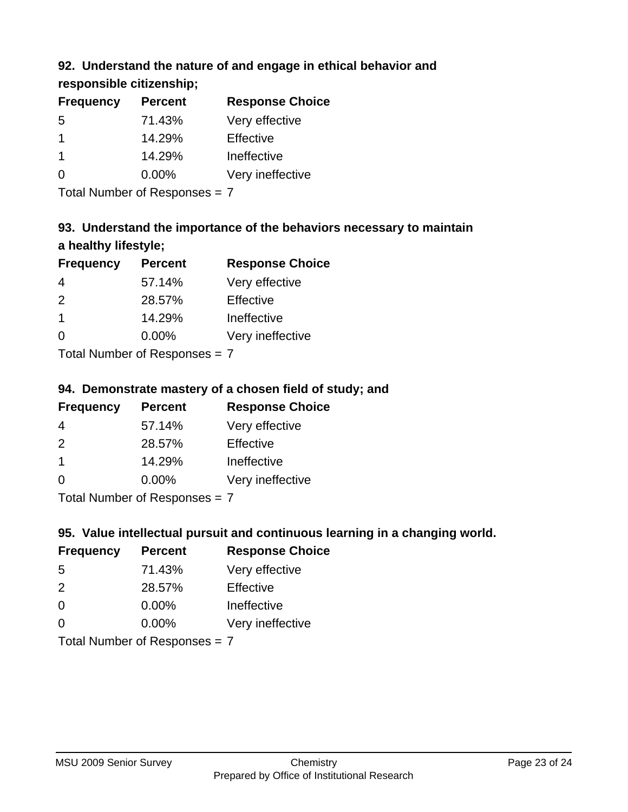## **92. Understand the nature of and engage in ethical behavior and**

**responsible citizenship;**

| <b>Percent</b> | <b>Response Choice</b> |
|----------------|------------------------|
| 71.43%         | Very effective         |
| 14.29%         | Effective              |
| 14.29%         | Ineffective            |
| $0.00\%$       | Very ineffective       |
|                |                        |

Total Number of Responses = 7

# **93. Understand the importance of the behaviors necessary to maintain a healthy lifestyle;**

| <b>Frequency</b>          | <b>Percent</b> | <b>Response Choice</b> |
|---------------------------|----------------|------------------------|
| 4                         | 57.14%         | Very effective         |
| $\mathcal{P}$             | 28.57%         | Effective              |
| $\overline{1}$            | 14.29%         | Ineffective            |
| $\Omega$                  | 0.00%          | Very ineffective       |
| Total Number of Deepersee |                |                        |

Total Number of Responses = 7

# **94. Demonstrate mastery of a chosen field of study; and**

| <b>Frequency</b> | <b>Percent</b> | <b>Response Choice</b> |
|------------------|----------------|------------------------|
| 4                | 57.14%         | Very effective         |
| $\mathcal{P}$    | 28.57%         | Effective              |
|                  | 14.29%         | Ineffective            |
| $\Omega$         | $0.00\%$       | Very ineffective       |
|                  |                |                        |

Total Number of Responses = 7

### **95. Value intellectual pursuit and continuous learning in a changing world.**

| <b>Frequency</b>                                | <b>Percent</b> | <b>Response Choice</b> |
|-------------------------------------------------|----------------|------------------------|
| -5                                              | 71.43%         | Very effective         |
| $\mathcal{P}$                                   | 28.57%         | Effective              |
| $\Omega$                                        | 0.00%          | Ineffective            |
| ∩                                               | 0.00%          | Very ineffective       |
| $T$ at all Masseds and $R$ $D$ are a second $T$ |                |                        |